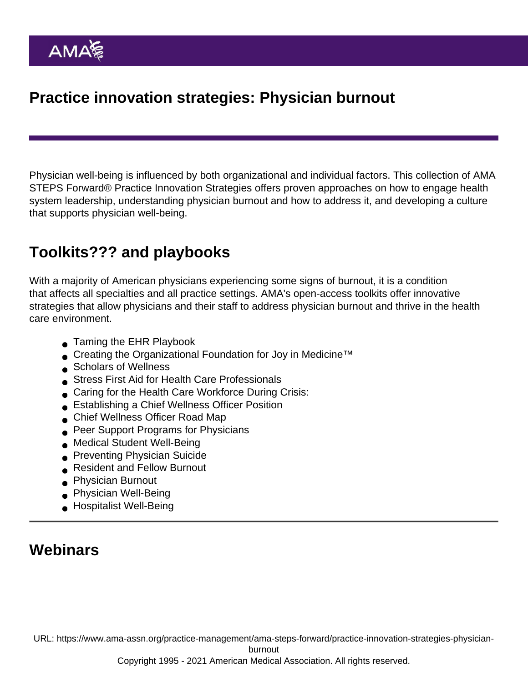Physician well-being is influenced by both organizational and individual factors. This collection of AMA STEPS Forward® Practice Innovation Strategies offers proven approaches on how to engage health system leadership, understanding physician burnout and how to address it, and developing a culture that supports physician well-being.

## Toolkits??? and playbooks

With a majority of American physicians experiencing some signs of [burnout,](https://www.ama-assn.org/topics/physician-burnout) it is a condition that affects all specialties and all practice settings. AMA's open-access toolkits offer innovative strategies that allow physicians and their staff to address physician burnout and thrive in the health care environment.

- **■** [Taming the EHR Playbook](https://www.ama-assn.org/practice-management/ama-steps-forward/taming-ehr-playbook)
- Creating the Organizational Foundation for Joy in Medicine<sup>™</sup>
- **[Scholars of Wellness](https://edhub.ama-assn.org/steps-forward/module/2782425)**
- [Stress First Aid for Health Care Professionals](https://edhub.ama-assn.org/steps-forward/module/2779767)
- [Caring for the Health Care Workforce During Crisis:](https://edhub.ama-assn.org/steps-forward/module/2779438)
- [Establishing a Chief Wellness Officer Position](https://edhub.ama-assn.org/steps-forward/module/2767739)
- [Chief Wellness Officer Road Map](https://edhub.ama-assn.org/steps-forward/module/2767764)
- **[Peer Support Programs for Physicians](https://edhub.ama-assn.org/steps-forward/module/2767766)**
- [Medical Student Well-Being](https://edhub.ama-assn.org/steps-forward/module/2757082)
- **[Preventing Physician Suicide](https://edhub.ama-assn.org/steps-forward/module/2702599)**
- [Resident and Fellow Burnout](https://edhub.ama-assn.org/steps-forward/module/2702511)
- **[Physician Burnout](https://edhub.ama-assn.org/steps-forward/module/2702509)**
- **[Physician Well-Being](https://edhub.ama-assn.org/steps-forward/module/2702556)**
- [Hospitalist Well-Being](https://edhub.ama-assn.org/steps-forward/module/2757860)

## **Webinars**

URL: [https://www.ama-assn.org/practice-management/ama-steps-forward/practice-innovation-strategies-physician-](https://www.ama-assn.org/practice-management/ama-steps-forward/practice-innovation-strategies-physician-burnout)

[burnout](https://www.ama-assn.org/practice-management/ama-steps-forward/practice-innovation-strategies-physician-burnout)